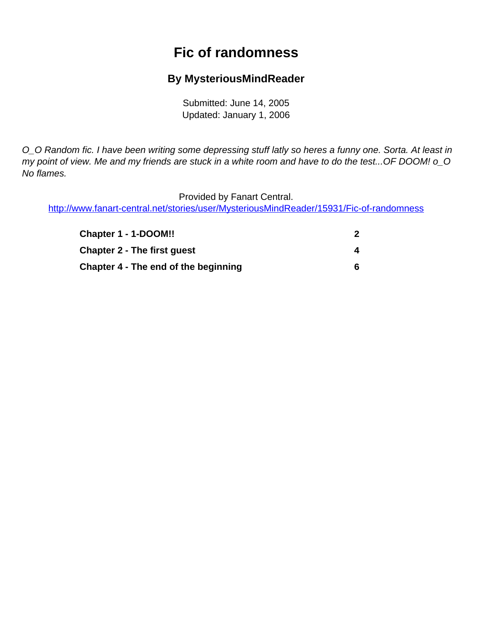# **Fic of randomness**

## **By MysteriousMindReader**

Submitted: June 14, 2005 Updated: January 1, 2006

<span id="page-0-0"></span>O\_O Random fic. I have been writing some depressing stuff latly so heres a funny one. Sorta. At least in my point of view. Me and my friends are stuck in a white room and have to do the test... OF DOOM! o\_O No flames.

Provided by Fanart Central.

[http://www.fanart-central.net/stories/user/MysteriousMindReader/15931/Fic-of-randomness](#page-0-0)

| Chapter 1 - 1-DOOM!!                 |   |
|--------------------------------------|---|
| <b>Chapter 2 - The first quest</b>   | 4 |
| Chapter 4 - The end of the beginning | 6 |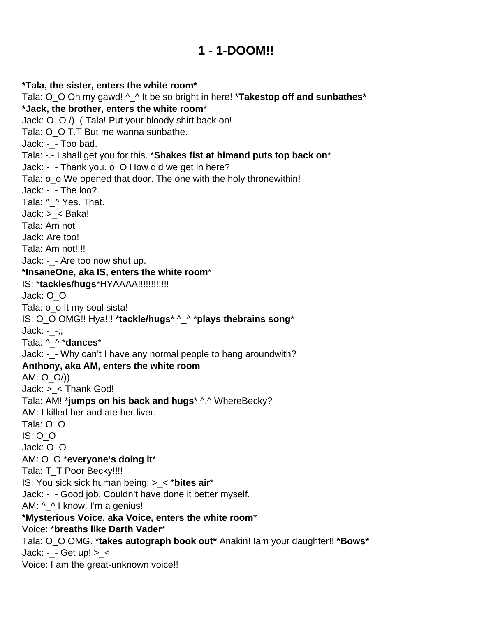## **1 - 1-DOOM!!**

<span id="page-1-0"></span>**\*Tala, the sister, enters the white room\*** Tala: O\_O Oh my gawd! ^\_^ It be so bright in here! \***Takestop off and sunbathes\* \*Jack, the brother, enters the white room**\* Jack: O\_O /)\_( Tala! Put your bloody shirt back on! Tala: O\_O T.T But me wanna sunbathe. Jack: -\_- Too bad. Tala: -.- I shall get you for this. \***Shakes fist at himand puts top back on**\* Jack: -\_- Thank you. o\_O How did we get in here? Tala: o\_o We opened that door. The one with the holy thronewithin! Jack: - - The loo? Tala: ^ ^ Yes. That. Jack: >\_< Baka! Tala: Am not Jack: Are too! Tala: Am not!!!! Jack: -\_- Are too now shut up. **\*InsaneOne, aka IS, enters the white room**\* IS: \***tackles/hugs**\*HYAAAA!!!!!!!!!!!! Jack: O\_O Tala: o\_o It my soul sista! IS: O\_O OMG!! Hya!!! \***tackle/hugs**\* ^\_^ \***plays thebrains song**\* Jack: -\_-;; Tala: ^\_^ \***dances**\* Jack: -\_- Why can't I have any normal people to hang aroundwith? **Anthony, aka AM, enters the white room** AM: O\_O/)) Jack: >\_< Thank God! Tala: AM! \***jumps on his back and hugs**\* ^.^ WhereBecky? AM: I killed her and ate her liver. Tala: O\_O IS: O\_O Jack: O\_O AM: O\_O \***everyone's doing it**\* Tala: T\_T Poor Becky!!!! IS: You sick sick human being! >\_< \***bites air**\* Jack: -\_- Good job. Couldn't have done it better myself. AM: ^\_^ I know. I'm a genius! **\*Mysterious Voice, aka Voice, enters the white room**\* Voice: \***breaths like Darth Vader**\* Tala: O\_O OMG. \***takes autograph book out\*** Anakin! Iam your daughter!! **\*Bows\*** Jack: -\_- Get up! >\_< Voice: I am the great-unknown voice!!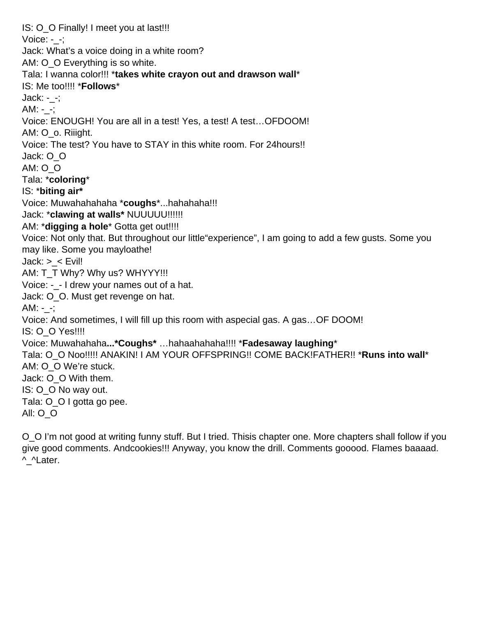IS: O O Finally! I meet you at last!!! Voice:  $-$  -; Jack: What's a voice doing in a white room? AM: O O Everything is so white. Tala: I wanna color!!! \***takes white crayon out and drawson wall**\* IS: Me too!!!! \***Follows**\* Jack: -\_-;  $AM: -$ ; Voice: ENOUGH! You are all in a test! Yes, a test! A test…OFDOOM! AM: O\_o. Riiight. Voice: The test? You have to STAY in this white room. For 24hours!! Jack: O\_O AM: O\_O Tala: \***coloring**\* IS: \***biting air\*** Voice: Muwahahahaha \***coughs**\*...hahahaha!!! Jack: \***clawing at walls\*** NUUUUU!!!!!! AM: \***digging a hole**\* Gotta get out!!!! Voice: Not only that. But throughout our little"experience", I am going to add a few gusts. Some you may like. Some you mayloathe!  $Jack: > < E$ vil! AM: T\_T Why? Why us? WHYYY!!! Voice:  $-$  - I drew your names out of a hat. Jack: O\_O. Must get revenge on hat.  $AM: -$ ; Voice: And sometimes, I will fill up this room with aspecial gas. A gas…OF DOOM! IS: O\_O Yes!!!! Voice: Muwahahaha**...\*Coughs\*** …hahaahahaha!!!! \***Fadesaway laughing**\* Tala: O\_O Noo!!!!! ANAKIN! I AM YOUR OFFSPRING!! COME BACK!FATHER!! \***Runs into wall**\* AM: O\_O We're stuck. Jack: O\_O With them. IS: O\_O No way out. Tala: O\_O I gotta go pee. All: O\_O

O\_O I'm not good at writing funny stuff. But I tried. Thisis chapter one. More chapters shall follow if you give good comments. Andcookies!!! Anyway, you know the drill. Comments gooood. Flames baaaad. ^\_^Later.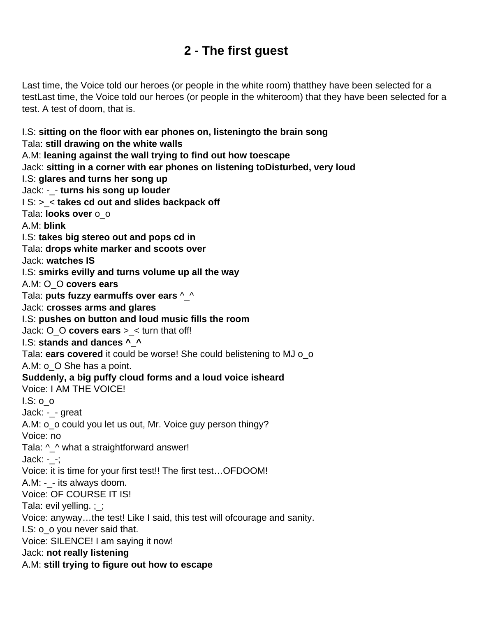# **2 - The first guest**

<span id="page-3-0"></span>Last time, the Voice told our heroes (or people in the white room) thatthey have been selected for a testLast time, the Voice told our heroes (or people in the whiteroom) that they have been selected for a test. A test of doom, that is.

I.S: **sitting on the floor with ear phones on, listeningto the brain song** Tala: **still drawing on the white walls** A.M: **leaning against the wall trying to find out how toescape** Jack: **sitting in a corner with ear phones on listening toDisturbed, very loud** I.S: **glares and turns her song up** Jack: -\_- **turns his song up louder** I S: >\_< **takes cd out and slides backpack off** Tala: **looks over** o\_o A.M: **blink** I.S: **takes big stereo out and pops cd in** Tala: **drops white marker and scoots over** Jack: **watches IS** I.S: **smirks evilly and turns volume up all the way** A.M: O\_O **covers ears** Tala: **puts fuzzy earmuffs over ears** ^\_^ Jack: **crosses arms and glares** I.S: **pushes on button and loud music fills the room** Jack: O\_O **covers ears** >\_< turn that off! I.S: **stands and dances ^\_^** Tala: **ears covered** it could be worse! She could belistening to MJ o\_o A.M: o\_O She has a point. **Suddenly, a big puffy cloud forms and a loud voice isheard** Voice: I AM THE VOICE!  $I.S: 0<sub>o</sub>$ Jack: -\_- great A.M: o\_o could you let us out, Mr. Voice guy person thingy? Voice: no Tala: ^\_^ what a straightforward answer! Jack: -\_-; Voice: it is time for your first test!! The first test…OFDOOM! A.M: -\_- its always doom. Voice: OF COURSE IT IS! Tala: evil yelling.  $\frac{1}{1}$ ; Voice: anyway…the test! Like I said, this test will ofcourage and sanity. I.S: o\_o you never said that. Voice: SILENCE! I am saying it now! Jack: **not really listening** A.M: **still trying to figure out how to escape**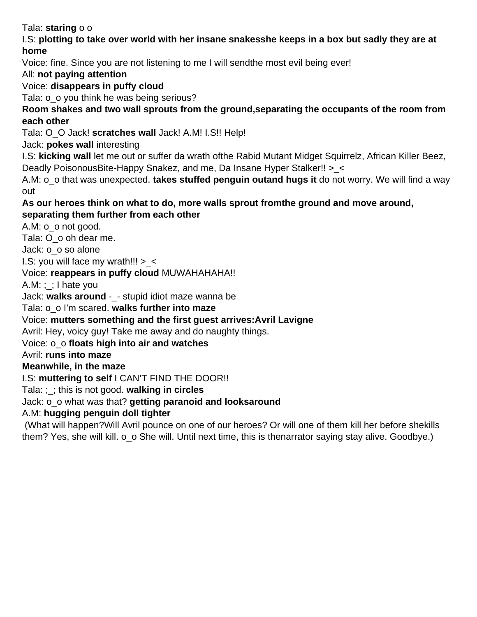Tala: **staring** o o

#### I.S: **plotting to take over world with her insane snakesshe keeps in a box but sadly they are at home**

Voice: fine. Since you are not listening to me I will sendthe most evil being ever!

All: **not paying attention**

Voice: **disappears in puffy cloud**

Tala: o o you think he was being serious?

### **Room shakes and two wall sprouts from the ground,separating the occupants of the room from each other**

Tala: O\_O Jack! **scratches wall** Jack! A.M! I.S!! Help!

Jack: **pokes wall** interesting

I.S: **kicking wall** let me out or suffer da wrath ofthe Rabid Mutant Midget Squirrelz, African Killer Beez, Deadly PoisonousBite-Happy Snakez, and me, Da Insane Hyper Stalker!! > <

A.M: o\_o that was unexpected. **takes stuffed penguin outand hugs it** do not worry. We will find a way out

#### **As our heroes think on what to do, more walls sprout fromthe ground and move around, separating them further from each other**

A.M: o\_o not good.

Tala: O\_o oh dear me.

Jack: o\_o so alone

I.S: you will face my wrath!!!  $>$  <

Voice: **reappears in puffy cloud** MUWAHAHAHA!!

 $A.M:$ ; : I hate you

Jack: walks around - - stupid idiot maze wanna be

Tala: o\_o I'm scared. **walks further into maze**

Voice: **mutters something and the first guest arrives:Avril Lavigne**

Avril: Hey, voicy guy! Take me away and do naughty things.

### Voice: o\_o **floats high into air and watches**

#### Avril: **runs into maze**

### **Meanwhile, in the maze**

I.S: **muttering to self** I CAN'T FIND THE DOOR!!

Tala: ;\_; this is not good. **walking in circles**

### Jack: o\_o what was that? **getting paranoid and looksaround**

A.M: **hugging penguin doll tighter**

 (What will happen?Will Avril pounce on one of our heroes? Or will one of them kill her before shekills them? Yes, she will kill. o\_o She will. Until next time, this is thenarrator saying stay alive. Goodbye.)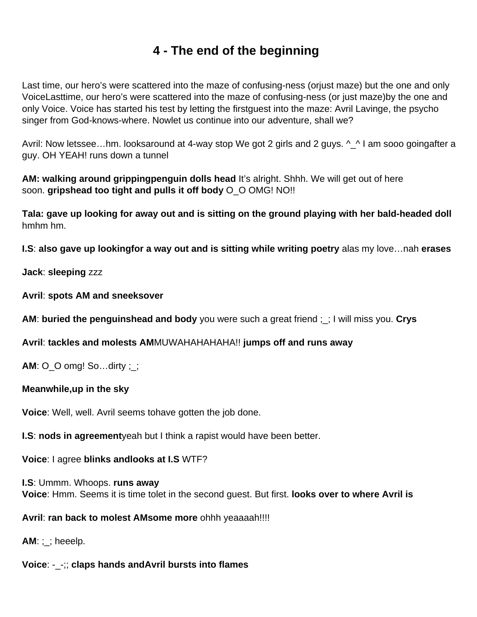# **4 - The end of the beginning**

<span id="page-5-0"></span>Last time, our hero's were scattered into the maze of confusing-ness (orjust maze) but the one and only VoiceLasttime, our hero's were scattered into the maze of confusing-ness (or just maze)by the one and only Voice. Voice has started his test by letting the firstguest into the maze: Avril Lavinge, the psycho singer from God-knows-where. Nowlet us continue into our adventure, shall we?

Avril: Now letssee...hm. looksaround at 4-way stop We got 2 girls and 2 guys. ^\_^ I am sooo goingafter a guy. OH YEAH! runs down a tunnel

**AM: walking around grippingpenguin dolls head** It's alright. Shhh. We will get out of here soon. **gripshead too tight and pulls it off body** O\_O OMG! NO!!

**Tala: gave up looking for away out and is sitting on the ground playing with her bald-headed doll** hmhm hm.

**I.S**: **also gave up lookingfor a way out and is sitting while writing poetry** alas my love…nah **erases**

**Jack**: **sleeping** zzz

**Avril**: **spots AM and sneeksover**

**AM**: **buried the penguinshead and body** you were such a great friend ;\_; I will miss you. **Crys**

**Avril**: **tackles and molests AM**MUWAHAHAHAHA!! **jumps off and runs away**

**AM**: O\_O omg! So…dirty ;\_;

#### **Meanwhile,up in the sky**

**Voice**: Well, well. Avril seems tohave gotten the job done.

**I.S**: **nods in agreement**yeah but I think a rapist would have been better.

**Voice**: I agree **blinks andlooks at I.S** WTF?

**I.S**: Ummm. Whoops. **runs away Voice**: Hmm. Seems it is time tolet in the second guest. But first. **looks over to where Avril is**

## **Avril**: **ran back to molest AMsome more** ohhh yeaaaah!!!!

**AM**: ;\_; heeelp.

## **Voice**: -\_-;; **claps hands andAvril bursts into flames**